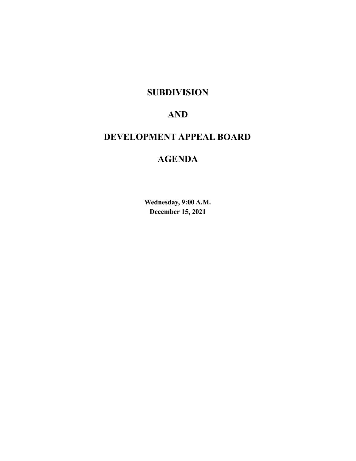# **SUBDIVISION**

# **AND**

# **DEVELOPMENT APPEAL BOARD**

# **AGENDA**

**Wednesday, 9:00 A.M. December 15, 2021**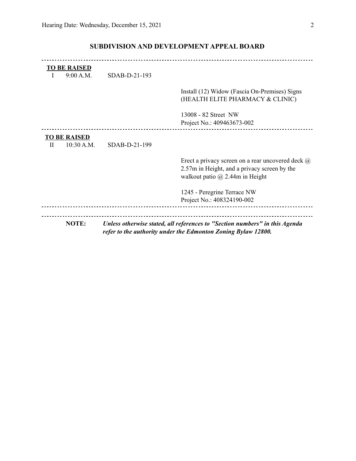|              | NOTE:                             |               | Unless otherwise stated, all references to "Section numbers" in this Agenda<br>refer to the authority under the Edmonton Zoning Bylaw 12800.       |
|--------------|-----------------------------------|---------------|----------------------------------------------------------------------------------------------------------------------------------------------------|
|              |                                   |               | Project No.: 408324190-002                                                                                                                         |
|              |                                   |               | 1245 - Peregrine Terrace NW                                                                                                                        |
|              |                                   |               | Erect a privacy screen on a rear uncovered deck $\omega$<br>2.57m in Height, and a privacy screen by the<br>walkout patio $\omega$ 2.44m in Height |
| $\mathbf{H}$ | <b>TO BE RAISED</b><br>10:30 A.M. | SDAB-D-21-199 |                                                                                                                                                    |
|              |                                   |               | 13008 - 82 Street NW<br>Project No.: 409463673-002                                                                                                 |
|              |                                   |               | Install (12) Widow (Fascia On-Premises) Signs<br>(HEALTH ELITE PHARMACY & CLINIC)                                                                  |
| $\mathbf{I}$ | <b>TO BE RAISED</b><br>9:00 A.M.  | SDAB-D-21-193 |                                                                                                                                                    |
|              |                                   |               |                                                                                                                                                    |

# **SUBDIVISION AND DEVELOPMENT APPEAL BOARD**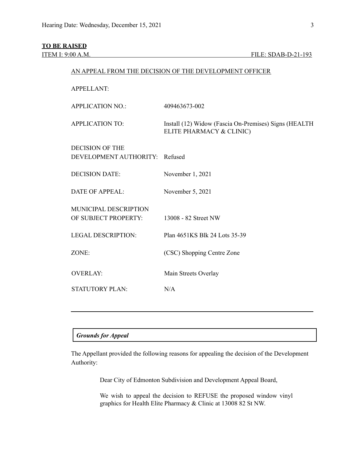## **TO BE RAISED**

| AN APPEAL FROM THE DECISION OF THE DEVELOPMENT OFFICER |                                                                                   |  |  |
|--------------------------------------------------------|-----------------------------------------------------------------------------------|--|--|
| <b>APPELLANT:</b>                                      |                                                                                   |  |  |
| <b>APPLICATION NO.:</b>                                | 409463673-002                                                                     |  |  |
| <b>APPLICATION TO:</b>                                 | Install (12) Widow (Fascia On-Premises) Signs (HEALTH<br>ELITE PHARMACY & CLINIC) |  |  |
| <b>DECISION OF THE</b>                                 |                                                                                   |  |  |
| DEVELOPMENT AUTHORITY:                                 | Refused                                                                           |  |  |
| <b>DECISION DATE:</b>                                  | November 1, 2021                                                                  |  |  |
| <b>DATE OF APPEAL:</b>                                 | November 5, 2021                                                                  |  |  |
| MUNICIPAL DESCRIPTION                                  |                                                                                   |  |  |
| OF SUBJECT PROPERTY:                                   | 13008 - 82 Street NW                                                              |  |  |
| <b>LEGAL DESCRIPTION:</b>                              | Plan 4651KS Blk 24 Lots 35-39                                                     |  |  |
| ZONE:                                                  | (CSC) Shopping Centre Zone                                                        |  |  |
| <b>OVERLAY:</b>                                        | Main Streets Overlay                                                              |  |  |
| <b>STATUTORY PLAN:</b>                                 | N/A                                                                               |  |  |
|                                                        |                                                                                   |  |  |

## *Grounds for Appeal*

The Appellant provided the following reasons for appealing the decision of the Development Authority:

Dear City of Edmonton Subdivision and Development Appeal Board,

We wish to appeal the decision to REFUSE the proposed window vinyl graphics for Health Elite Pharmacy & Clinic at 13008 82 St NW.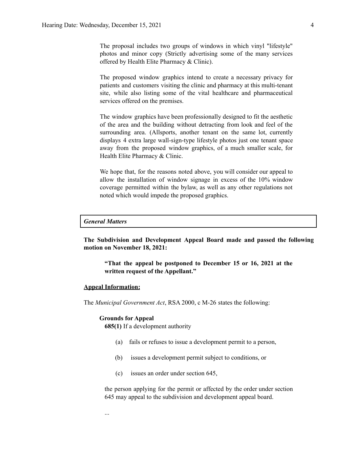The proposal includes two groups of windows in which vinyl "lifestyle" photos and minor copy (Strictly advertising some of the many services offered by Health Elite Pharmacy & Clinic).

The proposed window graphics intend to create a necessary privacy for patients and customers visiting the clinic and pharmacy at this multi-tenant site, while also listing some of the vital healthcare and pharmaceutical services offered on the premises.

The window graphics have been professionally designed to fit the aesthetic of the area and the building without detracting from look and feel of the surrounding area. (Allsports, another tenant on the same lot, currently displays 4 extra large wall-sign-type lifestyle photos just one tenant space away from the proposed window graphics, of a much smaller scale, for Health Elite Pharmacy & Clinic.

We hope that, for the reasons noted above, you will consider our appeal to allow the installation of window signage in excess of the 10% window coverage permitted within the bylaw, as well as any other regulations not noted which would impede the proposed graphics.

#### *General Matters*

**The Subdivision and Development Appeal Board made and passed the following motion on November 18, 2021:**

**"That the appeal be postponed to December 15 or 16, 2021 at the written request of the Appellant."**

#### **Appeal Information:**

The *Municipal Government Act*, RSA 2000, c M-26 states the following:

#### **Grounds for Appeal**

**685(1)** If a development authority

- (a) fails or refuses to issue a development permit to a person,
- (b) issues a development permit subject to conditions, or
- (c) issues an order under section 645,

the person applying for the permit or affected by the order under section 645 may appeal to the subdivision and development appeal board.

...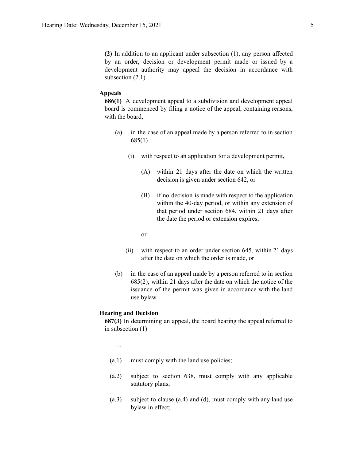**(2)** In addition to an applicant under subsection (1), any person affected by an order, decision or development permit made or issued by a development authority may appeal the decision in accordance with subsection  $(2.1)$ .

### **Appeals**

**686(1)** A development appeal to a subdivision and development appeal board is commenced by filing a notice of the appeal, containing reasons, with the board,

- (a) in the case of an appeal made by a person referred to in section 685(1)
	- (i) with respect to an application for a development permit,
		- (A) within 21 days after the date on which the written decision is given under section 642, or
		- (B) if no decision is made with respect to the application within the 40-day period, or within any extension of that period under section 684, within 21 days after the date the period or extension expires,

or

- (ii) with respect to an order under section 645, within 21 days after the date on which the order is made, or
- (b) in the case of an appeal made by a person referred to in section 685(2), within 21 days after the date on which the notice of the issuance of the permit was given in accordance with the land use bylaw.

#### **Hearing and Decision**

**687(3)** In determining an appeal, the board hearing the appeal referred to in subsection (1)

…

- (a.1) must comply with the land use policies;
- (a.2) subject to section 638, must comply with any applicable statutory plans;
- (a.3) subject to clause (a.4) and (d), must comply with any land use bylaw in effect;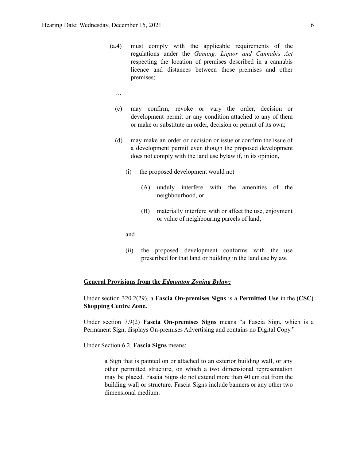- (a.4) must comply with the applicable requirements of the regulations under the *Gaming, Liquor and Cannabis Act* respecting the location of premises described in a cannabis licence and distances between those premises and other premises;
	- …
	- (c) may confirm, revoke or vary the order, decision or development permit or any condition attached to any of them or make or substitute an order, decision or permit of its own;
	- (d) may make an order or decision or issue or confirm the issue of a development permit even though the proposed development does not comply with the land use bylaw if, in its opinion,
		- (i) the proposed development would not
			- (A) unduly interfere with the amenities of the neighbourhood, or
			- (B) materially interfere with or affect the use, enjoyment or value of neighbouring parcels of land,

and

(ii) the proposed development conforms with the use prescribed for that land or building in the land use bylaw.

### **General Provisions from the** *Edmonton Zoning Bylaw:*

Under section 320.2(29), a **Fascia On-premises Signs** is a **Permitted Use** in the **(CSC) Shopping Centre Zone.**

Under section 7.9(2) **Fascia On-premises Signs** means "a Fascia Sign, which is a Permanent Sign, displays On-premises Advertising and contains no Digital Copy."

Under Section 6.2, **Fascia Signs** means:

a Sign that is painted on or attached to an exterior building wall, or any other permitted structure, on which a two dimensional representation may be placed. Fascia Signs do not extend more than 40 cm out from the building wall or structure. Fascia Signs include banners or any other two dimensional medium.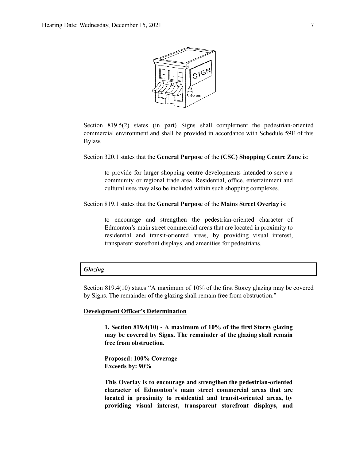

Section 819.5(2) states (in part) Signs shall complement the pedestrian-oriented commercial environment and shall be provided in accordance with Schedule 59E of this Bylaw.

Section 320.1 states that the **General Purpose** of the **(CSC) Shopping Centre Zone** is:

to provide for larger shopping centre developments intended to serve a community or regional trade area. Residential, office, entertainment and cultural uses may also be included within such shopping complexes.

Section 819.1 states that the **General Purpose** of the **Mains Street Overlay** is:

to encourage and strengthen the pedestrian-oriented character of Edmonton's main street commercial areas that are located in proximity to residential and transit-oriented areas, by providing visual interest, transparent storefront displays, and amenities for pedestrians.

## *Glazing*

Section 819.4(10) states "A maximum of 10% of the first Storey glazing may be covered by Signs. The remainder of the glazing shall remain free from obstruction."

#### **Development Officer's Determination**

**1. Section 819.4(10) - A maximum of 10% of the first Storey glazing may be covered by Signs. The remainder of the glazing shall remain free from obstruction.**

**Proposed: 100% Coverage Exceeds by: 90%**

**This Overlay is to encourage and strengthen the pedestrian-oriented character of Edmonton's main street commercial areas that are located in proximity to residential and transit-oriented areas, by providing visual interest, transparent storefront displays, and**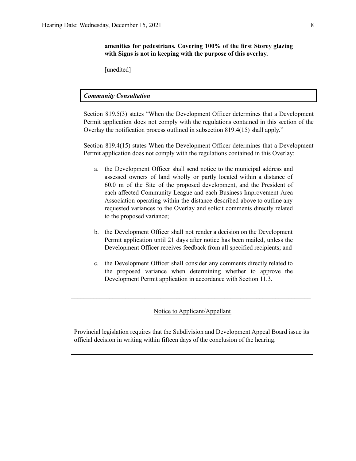[unedited]

# *Community Consultation*

Section 819.5(3) states "When the Development Officer determines that a Development Permit application does not comply with the regulations contained in this section of the Overlay the notification process outlined in subsection 819.4(15) shall apply."

Section 819.4(15) states When the Development Officer determines that a Development Permit application does not comply with the regulations contained in this Overlay:

- a. the Development Officer shall send notice to the municipal address and assessed owners of land wholly or partly located within a distance of 60.0 m of the Site of the proposed development, and the President of each affected Community League and each Business Improvement Area Association operating within the distance described above to outline any requested variances to the Overlay and solicit comments directly related to the proposed variance;
- b. the Development Officer shall not render a decision on the Development Permit application until 21 days after notice has been mailed, unless the Development Officer receives feedback from all specified recipients; and
- c. the Development Officer shall consider any comments directly related to the proposed variance when determining whether to approve the Development Permit application in accordance with Section 11.3.

# Notice to Applicant/Appellant

 $\mathcal{L}_\text{max} = \frac{1}{2} \sum_{i=1}^n \mathcal{L}_\text{max} = \frac{1}{2} \sum_{i=1}^n \mathcal{L}_\text{max} = \frac{1}{2} \sum_{i=1}^n \mathcal{L}_\text{max} = \frac{1}{2} \sum_{i=1}^n \mathcal{L}_\text{max} = \frac{1}{2} \sum_{i=1}^n \mathcal{L}_\text{max} = \frac{1}{2} \sum_{i=1}^n \mathcal{L}_\text{max} = \frac{1}{2} \sum_{i=1}^n \mathcal{L}_\text{max} = \frac{1}{2} \sum_{i=$ 

Provincial legislation requires that the Subdivision and Development Appeal Board issue its official decision in writing within fifteen days of the conclusion of the hearing.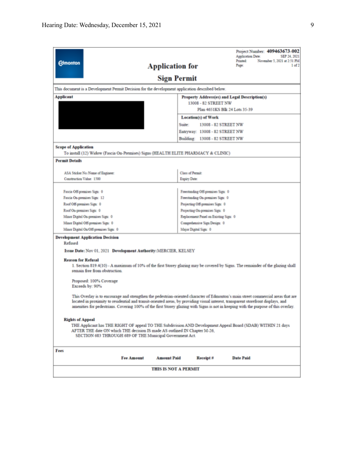| <b>Edmonton</b>                                                                                                                                                                                                                                      | <b>Application for</b> |                                                                       | Project Number: 409463673-002<br>Application Date:<br>SEP 24, 2021<br>Printed:<br>November 5, 2021 at 2:51 PM<br>Page:<br>1 <sub>of</sub> 2                                                                                                                              |  |
|------------------------------------------------------------------------------------------------------------------------------------------------------------------------------------------------------------------------------------------------------|------------------------|-----------------------------------------------------------------------|--------------------------------------------------------------------------------------------------------------------------------------------------------------------------------------------------------------------------------------------------------------------------|--|
|                                                                                                                                                                                                                                                      | <b>Sign Permit</b>     |                                                                       |                                                                                                                                                                                                                                                                          |  |
| This document is a Development Permit Decision for the development application described below.                                                                                                                                                      |                        |                                                                       |                                                                                                                                                                                                                                                                          |  |
| <b>Applicant</b>                                                                                                                                                                                                                                     |                        |                                                                       | Property Address(es) and Legal Description(s)                                                                                                                                                                                                                            |  |
| 13008 - 82 STREET NW                                                                                                                                                                                                                                 |                        |                                                                       |                                                                                                                                                                                                                                                                          |  |
|                                                                                                                                                                                                                                                      |                        | Plan 4651KS Blk 24 Lots 35-39<br>Location(s) of Work                  |                                                                                                                                                                                                                                                                          |  |
|                                                                                                                                                                                                                                                      |                        |                                                                       |                                                                                                                                                                                                                                                                          |  |
|                                                                                                                                                                                                                                                      | Suite:                 | 13008 - 82 STREET NW                                                  |                                                                                                                                                                                                                                                                          |  |
|                                                                                                                                                                                                                                                      |                        | Entryway: 13008 - 82 STREET NW                                        |                                                                                                                                                                                                                                                                          |  |
|                                                                                                                                                                                                                                                      |                        | Building: 13008 - 82 STREET NW                                        |                                                                                                                                                                                                                                                                          |  |
| <b>Scope of Application</b>                                                                                                                                                                                                                          |                        |                                                                       |                                                                                                                                                                                                                                                                          |  |
| To install (12) Widow (Fascia On-Premises) Signs (HEALTH ELITE PHARMACY & CLINIC)                                                                                                                                                                    |                        |                                                                       |                                                                                                                                                                                                                                                                          |  |
| <b>Permit Details</b>                                                                                                                                                                                                                                |                        |                                                                       |                                                                                                                                                                                                                                                                          |  |
|                                                                                                                                                                                                                                                      |                        |                                                                       |                                                                                                                                                                                                                                                                          |  |
| ASA Sticker No./Name of Engineer:                                                                                                                                                                                                                    |                        | <b>Class of Permit</b>                                                |                                                                                                                                                                                                                                                                          |  |
| Construction Value: 1500                                                                                                                                                                                                                             | Expiry Date:           |                                                                       |                                                                                                                                                                                                                                                                          |  |
| Fascia Off-premises Sign: 0                                                                                                                                                                                                                          |                        |                                                                       |                                                                                                                                                                                                                                                                          |  |
| Fascia On-premises Sign: 12                                                                                                                                                                                                                          |                        | Freestanding Off-premises Sign: 0<br>Freestanding On-premises Sign: 0 |                                                                                                                                                                                                                                                                          |  |
| Roof Off-premises Sign: 0                                                                                                                                                                                                                            |                        | Projecting Off-premises Sign: 0                                       |                                                                                                                                                                                                                                                                          |  |
| Roof On-premises Sign: 0                                                                                                                                                                                                                             |                        | Projecting On-premises Sign: 0                                        |                                                                                                                                                                                                                                                                          |  |
| Minor Digital On-premises Sign: 0                                                                                                                                                                                                                    |                        | Replacement Panel on Existing Sign: 0                                 |                                                                                                                                                                                                                                                                          |  |
| Minor Digital Off-premises Sign: 0                                                                                                                                                                                                                   |                        | Comprehensive Sign Design: 0                                          |                                                                                                                                                                                                                                                                          |  |
| Minor Digital On/Off-premises Sign: 0                                                                                                                                                                                                                |                        | Major Digital Sign: 0                                                 |                                                                                                                                                                                                                                                                          |  |
| <b>Development Application Decision</b><br>Refused<br>Issue Date: Nov 01, 2021 Development Authority: MERCIER, KELSEY                                                                                                                                |                        |                                                                       |                                                                                                                                                                                                                                                                          |  |
| <b>Reason for Refusal</b><br>remain free from obstruction.                                                                                                                                                                                           |                        |                                                                       | 1. Section 819.4(10) - A maximum of 10% of the first Storey glazing may be covered by Signs. The remainder of the glazing shall                                                                                                                                          |  |
| Proposed: 100% Coverage<br>Exceeds by: 90%                                                                                                                                                                                                           |                        |                                                                       |                                                                                                                                                                                                                                                                          |  |
| located in proximity to residential and transit-oriented areas, by providing visual interest, transparent storefront displays, and                                                                                                                   |                        |                                                                       | This Overlay is to encourage and strengthen the pedestrian-oriented character of Edmonton's main street commercial areas that are<br>amenities for pedestrians. Covering 100% of the first Storey glazing with Signs is not in keeping with the purpose of this overlay. |  |
| <b>Rights of Appeal</b>                                                                                                                                                                                                                              |                        |                                                                       |                                                                                                                                                                                                                                                                          |  |
| THE Applicant has THE RIGHT OF appeal TO THE Subdivision AND Development Appeal Board (SDAB) WITHIN 21 days<br>AFTER THE date ON which THE decision IS made AS outlined IN Chapter M-26.<br>SECTION 683 THROUGH 689 OF THE Municipal Government Act. |                        |                                                                       |                                                                                                                                                                                                                                                                          |  |
| Fees                                                                                                                                                                                                                                                 |                        |                                                                       |                                                                                                                                                                                                                                                                          |  |
| <b>Fee Amount</b>                                                                                                                                                                                                                                    | <b>Amount Paid</b>     | $Receipt \#$                                                          | <b>Date Paid</b>                                                                                                                                                                                                                                                         |  |
| THIS IS NOT A PERMIT                                                                                                                                                                                                                                 |                        |                                                                       |                                                                                                                                                                                                                                                                          |  |
|                                                                                                                                                                                                                                                      |                        |                                                                       |                                                                                                                                                                                                                                                                          |  |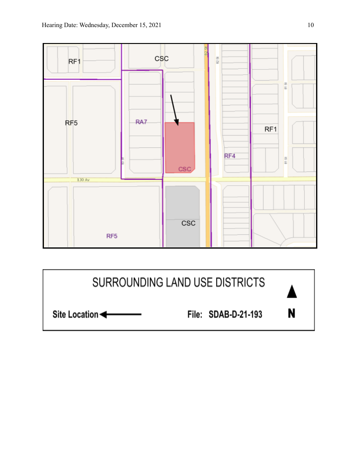

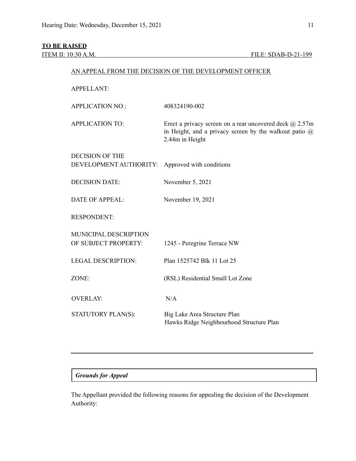# **TO BE RAISED**

| <b>APPELLANT:</b>                             |                                                                                                                                               |  |
|-----------------------------------------------|-----------------------------------------------------------------------------------------------------------------------------------------------|--|
| <b>APPLICATION NO.:</b>                       | 408324190-002                                                                                                                                 |  |
| <b>APPLICATION TO:</b>                        | Erect a privacy screen on a rear uncovered deck $@$ 2.57m<br>in Height, and a privacy screen by the walkout patio $\omega$<br>2.44m in Height |  |
| <b>DECISION OF THE</b>                        |                                                                                                                                               |  |
| DEVELOPMENT AUTHORITY:                        | Approved with conditions                                                                                                                      |  |
| <b>DECISION DATE:</b>                         | November 5, 2021                                                                                                                              |  |
| <b>DATE OF APPEAL:</b>                        | November 19, 2021                                                                                                                             |  |
| <b>RESPONDENT:</b>                            |                                                                                                                                               |  |
|                                               |                                                                                                                                               |  |
| MUNICIPAL DESCRIPTION<br>OF SUBJECT PROPERTY: | 1245 - Peregrine Terrace NW                                                                                                                   |  |
| <b>LEGAL DESCRIPTION:</b>                     | Plan 1525742 Blk 11 Lot 25                                                                                                                    |  |
| ZONE:                                         | (RSL) Residential Small Lot Zone                                                                                                              |  |
|                                               |                                                                                                                                               |  |
| <b>OVERLAY:</b>                               | N/A                                                                                                                                           |  |
| STATUTORY PLAN(S):                            | Big Lake Area Structure Plan<br>Hawks Ridge Neighbourhood Structure Plan                                                                      |  |

AN APPEAL FROM THE DECISION OF THE DEVELOPMENT OFFICER

# *Grounds for Appeal*

The Appellant provided the following reasons for appealing the decision of the Development Authority: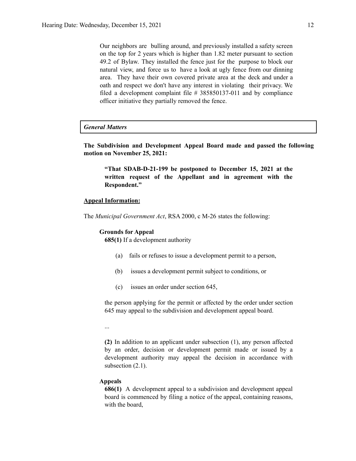Our neighbors are bulling around, and previously installed a safety screen on the top for 2 years which is higher than 1.82 meter pursuant to section 49.2 of Bylaw. They installed the fence just for the purpose to block our natural view, and force us to have a look at ugly fence from our dinning area. They have their own covered private area at the deck and under a oath and respect we don't have any interest in violating their privacy. We filed a development complaint file # 385850137-011 and by compliance officer initiative they partially removed the fence.

#### *General Matters*

**The Subdivision and Development Appeal Board made and passed the following motion on November 25, 2021:**

**"That SDAB-D-21-199 be postponed to December 15, 2021 at the written request of the Appellant and in agreement with the Respondent."**

#### **Appeal Information:**

The *Municipal Government Act*, RSA 2000, c M-26 states the following:

#### **Grounds for Appeal**

**685(1)** If a development authority

- (a) fails or refuses to issue a development permit to a person,
- (b) issues a development permit subject to conditions, or
- (c) issues an order under section 645,

the person applying for the permit or affected by the order under section 645 may appeal to the subdivision and development appeal board.

...

**(2)** In addition to an applicant under subsection (1), any person affected by an order, decision or development permit made or issued by a development authority may appeal the decision in accordance with subsection  $(2.1)$ .

### **Appeals**

**686(1)** A development appeal to a subdivision and development appeal board is commenced by filing a notice of the appeal, containing reasons, with the board,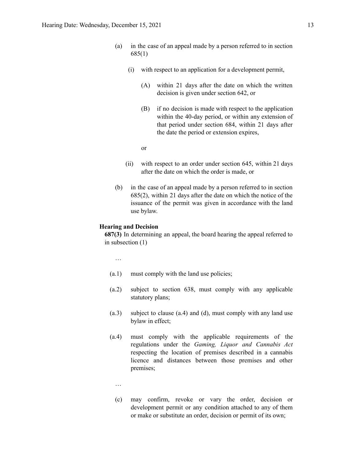- (a) in the case of an appeal made by a person referred to in section 685(1)
	- (i) with respect to an application for a development permit,
		- (A) within 21 days after the date on which the written decision is given under section 642, or
		- (B) if no decision is made with respect to the application within the 40-day period, or within any extension of that period under section 684, within 21 days after the date the period or extension expires,

or

- (ii) with respect to an order under section 645, within 21 days after the date on which the order is made, or
- (b) in the case of an appeal made by a person referred to in section 685(2), within 21 days after the date on which the notice of the issuance of the permit was given in accordance with the land use bylaw.

#### **Hearing and Decision**

**687(3)** In determining an appeal, the board hearing the appeal referred to in subsection (1)

…

- (a.1) must comply with the land use policies;
- (a.2) subject to section 638, must comply with any applicable statutory plans;
- (a.3) subject to clause (a.4) and (d), must comply with any land use bylaw in effect;
- (a.4) must comply with the applicable requirements of the regulations under the *Gaming, Liquor and Cannabis Act* respecting the location of premises described in a cannabis licence and distances between those premises and other premises;
	- …
	- (c) may confirm, revoke or vary the order, decision or development permit or any condition attached to any of them or make or substitute an order, decision or permit of its own;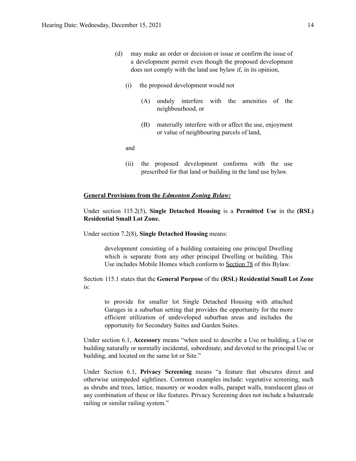- (d) may make an order or decision or issue or confirm the issue of a development permit even though the proposed development does not comply with the land use bylaw if, in its opinion,
	- (i) the proposed development would not
		- (A) unduly interfere with the amenities of the neighbourhood, or
		- (B) materially interfere with or affect the use, enjoyment or value of neighbouring parcels of land,

and

(ii) the proposed development conforms with the use prescribed for that land or building in the land use bylaw.

#### **General Provisions from the** *Edmonton Zoning Bylaw:*

Under section 115.2(5), **Single Detached Housing** is a **Permitted Use** in the **(RSL) Residential Small Lot Zone.**

Under section 7.2(8), **Single Detached Housing** means:

development consisting of a building containing one principal Dwelling which is separate from any other principal Dwelling or building. This Use includes Mobile Homes which conform to [Section](https://webdocs.edmonton.ca/zoningbylaw/ZoningBylaw/Part1/Special_Land/78__Mobile_Homes.htm) 78 of this Bylaw.

Section 115.1 states that the **General Purpose** of the **(RSL) Residential Small Lot Zone** is:

to provide for smaller lot Single Detached Housing with attached Garages in a suburban setting that provides the opportunity for the more efficient utilization of undeveloped suburban areas and includes the opportunity for Secondary Suites and Garden Suites.

Under section 6.1, **Accessory** means "when used to describe a Use or building, a Use or building naturally or normally incidental, subordinate, and devoted to the principal Use or building, and located on the same lot or Site."

Under Section 6.1, **Privacy Screening** means "a feature that obscures direct and otherwise unimpeded sightlines. Common examples include: vegetative screening, such as shrubs and trees, lattice, masonry or wooden walls, parapet walls, translucent glass or any combination of these or like features. Privacy Screening does not include a balustrade railing or similar railing system."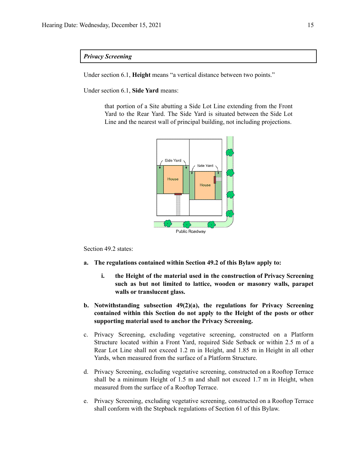#### *Privacy Screening*

Under section 6.1, **Height** means "a vertical distance between two points."

Under section 6.1, **Side Yard** means:

that portion of a Site abutting a Side Lot Line extending from the Front Yard to the Rear Yard. The Side Yard is situated between the Side Lot Line and the nearest wall of principal building, not including projections.



Section 49.2 states:

- **a. The regulations contained within Section 49.2 of this Bylaw apply to:**
	- **i. the Height of the material used in the construction of Privacy Screening such as but not limited to lattice, wooden or masonry walls, parapet walls or translucent glass.**
- **b. Notwithstanding subsection 49(2)(a), the regulations for Privacy Screening contained within this Section do not apply to the Height of the posts or other supporting material used to anchor the Privacy Screening.**
- c. Privacy Screening, excluding vegetative screening, constructed on a Platform Structure located within a Front Yard, required Side Setback or within 2.5 m of a Rear Lot Line shall not exceed 1.2 m in Height, and 1.85 m in Height in all other Yards, when measured from the surface of a Platform Structure.
- d. Privacy Screening, excluding vegetative screening, constructed on a Rooftop Terrace shall be a minimum Height of 1.5 m and shall not exceed 1.7 m in Height, when measured from the surface of a Rooftop Terrace.
- e. Privacy Screening, excluding vegetative screening, constructed on a Rooftop Terrace shall conform with the Stepback regulations of Section 61 of this Bylaw.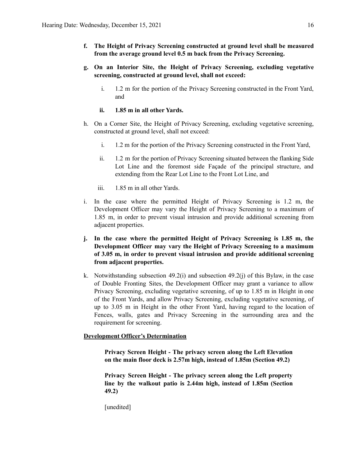- **f. The Height of Privacy Screening constructed at ground level shall be measured from the average ground level 0.5 m back from the Privacy Screening.**
- **g. On an Interior Site, the Height of Privacy Screening, excluding vegetative screening, constructed at ground level, shall not exceed:**
	- i. 1.2 m for the portion of the Privacy Screening constructed in the Front Yard, and
	- **ii. 1.85 m in all other Yards.**
- h. On a Corner Site, the Height of Privacy Screening, excluding vegetative screening, constructed at ground level, shall not exceed:
	- i. 1.2 m for the portion of the Privacy Screening constructed in the Front Yard,
	- ii. 1.2 m for the portion of Privacy Screening situated between the flanking Side Lot Line and the foremost side Façade of the principal structure, and extending from the Rear Lot Line to the Front Lot Line, and
	- iii. 1.85 m in all other Yards.
- i. In the case where the permitted Height of Privacy Screening is 1.2 m, the Development Officer may vary the Height of Privacy Screening to a maximum of 1.85 m, in order to prevent visual intrusion and provide additional screening from adjacent properties.
- **j. In the case where the permitted Height of Privacy Screening is 1.85 m, the Development Officer may vary the Height of Privacy Screening to a maximum of 3.05 m, in order to prevent visual intrusion and provide additional screening from adjacent properties.**
- k. Notwithstanding subsection  $49.2(i)$  and subsection  $49.2(i)$  of this Bylaw, in the case of Double Fronting Sites, the Development Officer may grant a variance to allow Privacy Screening, excluding vegetative screening, of up to 1.85 m in Height in one of the Front Yards, and allow Privacy Screening, excluding vegetative screening, of up to 3.05 m in Height in the other Front Yard, having regard to the location of Fences, walls, gates and Privacy Screening in the surrounding area and the requirement for screening.

### **Development Officer's Determination**

**Privacy Screen Height - The privacy screen along the Left Elevation on the main floor deck is 2.57m high, instead of 1.85m (Section 49.2)**

**Privacy Screen Height - The privacy screen along the Left property line by the walkout patio is 2.44m high, instead of 1.85m (Section 49.2)**

[unedited]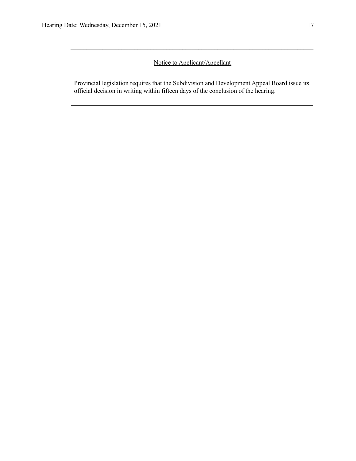# Notice to Applicant/Appellant

 $\mathcal{L}_\mathcal{L} = \{ \mathcal{L}_\mathcal{L} = \{ \mathcal{L}_\mathcal{L} = \{ \mathcal{L}_\mathcal{L} = \{ \mathcal{L}_\mathcal{L} = \{ \mathcal{L}_\mathcal{L} = \{ \mathcal{L}_\mathcal{L} = \{ \mathcal{L}_\mathcal{L} = \{ \mathcal{L}_\mathcal{L} = \{ \mathcal{L}_\mathcal{L} = \{ \mathcal{L}_\mathcal{L} = \{ \mathcal{L}_\mathcal{L} = \{ \mathcal{L}_\mathcal{L} = \{ \mathcal{L}_\mathcal{L} = \{ \mathcal{L}_\mathcal{$ 

Provincial legislation requires that the Subdivision and Development Appeal Board issue its official decision in writing within fifteen days of the conclusion of the hearing.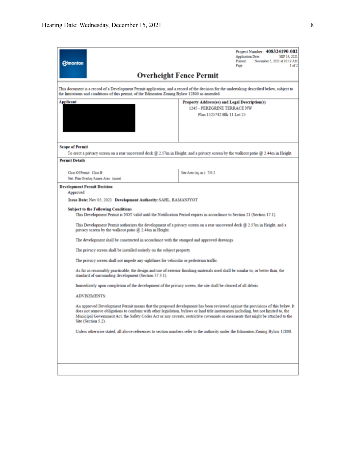| <b>Edmonton</b>                                                                                                                                                                                                                                                                                                                                                                                                               | Project Number: 408324190-002<br>Application Date:<br>SEP 14, 2021<br>Printed:<br>November 5, 2021 at 10:19 AM<br>Page:<br>1 of 2  |  |  |  |  |  |
|-------------------------------------------------------------------------------------------------------------------------------------------------------------------------------------------------------------------------------------------------------------------------------------------------------------------------------------------------------------------------------------------------------------------------------|------------------------------------------------------------------------------------------------------------------------------------|--|--|--|--|--|
|                                                                                                                                                                                                                                                                                                                                                                                                                               | <b>Overheight Fence Permit</b>                                                                                                     |  |  |  |  |  |
| This document is a record of a Development Permit application, and a record of the decision for the undertaking described below, subject to<br>the limitations and conditions of this permit, of the Edmonton Zoning Bylaw 12800 as amended.                                                                                                                                                                                  |                                                                                                                                    |  |  |  |  |  |
| Applicant<br>Property Address(es) and Legal Description(s)                                                                                                                                                                                                                                                                                                                                                                    |                                                                                                                                    |  |  |  |  |  |
|                                                                                                                                                                                                                                                                                                                                                                                                                               | 1245 - PEREGRINE TERRACE NW<br>Plan 1525742 Blk 11 Lot 25                                                                          |  |  |  |  |  |
|                                                                                                                                                                                                                                                                                                                                                                                                                               |                                                                                                                                    |  |  |  |  |  |
|                                                                                                                                                                                                                                                                                                                                                                                                                               |                                                                                                                                    |  |  |  |  |  |
|                                                                                                                                                                                                                                                                                                                                                                                                                               |                                                                                                                                    |  |  |  |  |  |
| <b>Scope of Permit</b>                                                                                                                                                                                                                                                                                                                                                                                                        |                                                                                                                                    |  |  |  |  |  |
|                                                                                                                                                                                                                                                                                                                                                                                                                               | To erect a privacy screen on a rear uncovered deck @ 2.57m in Height, and a privacy screen by the walkout patio @ 2.44m in Height. |  |  |  |  |  |
| <b>Permit Details</b>                                                                                                                                                                                                                                                                                                                                                                                                         |                                                                                                                                    |  |  |  |  |  |
| Class Of Permit: Class B                                                                                                                                                                                                                                                                                                                                                                                                      | Site Azea (sq. m.): 733.2                                                                                                          |  |  |  |  |  |
| Stat. Plan Overlay/Annex Area: (none)                                                                                                                                                                                                                                                                                                                                                                                         |                                                                                                                                    |  |  |  |  |  |
| <b>Development Permit Decision</b>                                                                                                                                                                                                                                                                                                                                                                                            |                                                                                                                                    |  |  |  |  |  |
| Approved<br>Issue Date: Nov 05, 2021 Development Authority: SAHL, RAMANJYOT                                                                                                                                                                                                                                                                                                                                                   |                                                                                                                                    |  |  |  |  |  |
| <b>Subject to the Following Conditions</b><br>This Development Permit is NOT valid until the Notification Period expires in accordance to Section 21 (Section 17.1).                                                                                                                                                                                                                                                          |                                                                                                                                    |  |  |  |  |  |
| This Development Permit authorizes the development of a privacy screen on a rear uncovered deck @ 2.57m in Height, and a<br>privacy screen by the walkout patio $@2.44m$ in Height.                                                                                                                                                                                                                                           |                                                                                                                                    |  |  |  |  |  |
|                                                                                                                                                                                                                                                                                                                                                                                                                               | The development shall be constructed in accordance with the stamped and approved drawings.                                         |  |  |  |  |  |
|                                                                                                                                                                                                                                                                                                                                                                                                                               | The privacy screen shall be installed entirely on the subject property.                                                            |  |  |  |  |  |
|                                                                                                                                                                                                                                                                                                                                                                                                                               | The privacy screen shall not impede any sightlines for vehicular or pedestrian traffic.                                            |  |  |  |  |  |
| standard of surrounding development (Section 57.3.1).                                                                                                                                                                                                                                                                                                                                                                         | As far as reasonably practicable, the design and use of exterior finishing materials used shall be similar to, or better than, the |  |  |  |  |  |
|                                                                                                                                                                                                                                                                                                                                                                                                                               | Immediately upon completion of the development of the privacy screen, the site shall be cleared of all debris.                     |  |  |  |  |  |
| <b>ADVISEMENTS:</b>                                                                                                                                                                                                                                                                                                                                                                                                           |                                                                                                                                    |  |  |  |  |  |
| An approved Development Permit means that the proposed development has been reviewed against the provisions of this bylaw. It<br>does not remove obligations to conform with other legislation, bylaws or land title instruments including, but not limited to, the<br>Municipal Government Act, the Safety Codes Act or any caveats, restrictive covenants or easements that might be attached to the<br>Site (Section 5.2). |                                                                                                                                    |  |  |  |  |  |
|                                                                                                                                                                                                                                                                                                                                                                                                                               | Unless otherwise stated, all above references to section numbers refer to the authority under the Edmonton Zoning Bylaw 12800.     |  |  |  |  |  |
|                                                                                                                                                                                                                                                                                                                                                                                                                               |                                                                                                                                    |  |  |  |  |  |
|                                                                                                                                                                                                                                                                                                                                                                                                                               |                                                                                                                                    |  |  |  |  |  |
|                                                                                                                                                                                                                                                                                                                                                                                                                               |                                                                                                                                    |  |  |  |  |  |
|                                                                                                                                                                                                                                                                                                                                                                                                                               |                                                                                                                                    |  |  |  |  |  |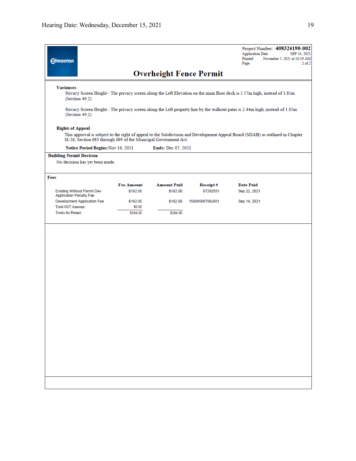| <b>Edmonton</b>                                                      |                                                                |                                |                 | Project Number: 408324190-002<br><b>Application Date:</b><br>SEP 14, 2021<br>Printed:<br>November 5, 2021 at 10:19 AM<br>Page:<br>$2$ of:                                                                                                                  |
|----------------------------------------------------------------------|----------------------------------------------------------------|--------------------------------|-----------------|------------------------------------------------------------------------------------------------------------------------------------------------------------------------------------------------------------------------------------------------------------|
|                                                                      |                                                                | <b>Overheight Fence Permit</b> |                 |                                                                                                                                                                                                                                                            |
| <b>Variances</b><br>(Section 49.2)<br>(Section 49.2)                 |                                                                |                                |                 | Privacy Screen Height - The privacy screen along the Left Elevation on the main floor deck is 2.57m high, instead of 1.85m<br>Privacy Screen Height - The privacy screen along the Left property line by the walkout patio is 2.44m high, instead of 1.85m |
| <b>Rights of Appeal</b>                                              | M-26, Section 683 through 689 of the Municipal Government Act. |                                |                 | This approval is subject to the right of appeal to the Subdivision and Development Appeal Board (SDAB) as outlined in Chapter                                                                                                                              |
|                                                                      | Notice Period Begins: Nov 16, 2021                             | <b>Ends: Dec 07, 2021</b>      |                 |                                                                                                                                                                                                                                                            |
| <b>Building Permit Decision</b><br>No decision has yet been made.    |                                                                |                                |                 |                                                                                                                                                                                                                                                            |
| Fees                                                                 |                                                                |                                |                 |                                                                                                                                                                                                                                                            |
|                                                                      | <b>Fee Amount</b>                                              | <b>Amount Paid</b>             | Receipt#        | <b>Date Paid</b>                                                                                                                                                                                                                                           |
| <b>Existing Without Permit Dev</b><br><b>Application Penalty Fee</b> | \$182.00                                                       | \$182.00                       | 07292501        | Sep 22, 2021                                                                                                                                                                                                                                               |
| Development Application Fee<br>Total GST Amount:                     | \$182.00<br>\$0.00                                             | \$182.00                       | 15004506799J001 | Sep 14, 2021                                                                                                                                                                                                                                               |
| <b>Totals for Permit:</b>                                            | \$364.00                                                       | \$364.00                       |                 |                                                                                                                                                                                                                                                            |
|                                                                      |                                                                |                                |                 |                                                                                                                                                                                                                                                            |